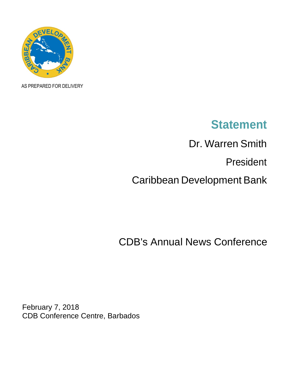

AS PREPARED FOR DELIVERY

# **Statement**

Dr. Warren Smith

President

Caribbean Development Bank

CDB's Annual News Conference

February 7, 2018 CDB Conference Centre, Barbados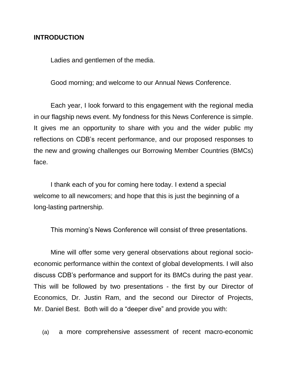### **INTRODUCTION**

Ladies and gentlemen of the media.

Good morning; and welcome to our Annual News Conference.

Each year, I look forward to this engagement with the regional media in our flagship news event. My fondness for this News Conference is simple. It gives me an opportunity to share with you and the wider public my reflections on CDB's recent performance, and our proposed responses to the new and growing challenges our Borrowing Member Countries (BMCs) face.

I thank each of you for coming here today. I extend a special welcome to all newcomers; and hope that this is just the beginning of a long-lasting partnership.

This morning's News Conference will consist of three presentations.

Mine will offer some very general observations about regional socioeconomic performance within the context of global developments. I will also discuss CDB's performance and support for its BMCs during the past year. This will be followed by two presentations - the first by our Director of Economics, Dr. Justin Ram, and the second our Director of Projects, Mr. Daniel Best. Both will do a "deeper dive" and provide you with:

(a) a more comprehensive assessment of recent macro-economic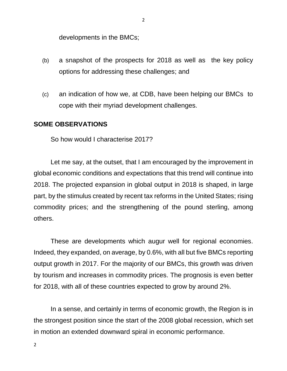developments in the BMCs;

- (b) a snapshot of the prospects for 2018 as well as the key policy options for addressing these challenges; and
- (c) an indication of how we, at CDB, have been helping our BMCs to cope with their myriad development challenges.

#### **SOME OBSERVATIONS**

So how would I characterise 2017?

Let me say, at the outset, that I am encouraged by the improvement in global economic conditions and expectations that this trend will continue into 2018. The projected expansion in global output in 2018 is shaped, in large part, by the stimulus created by recent tax reforms in the United States; rising commodity prices; and the strengthening of the pound sterling, among others.

These are developments which augur well for regional economies. Indeed, they expanded, on average, by 0.6%, with all but five BMCs reporting output growth in 2017. For the majority of our BMCs, this growth was driven by tourism and increases in commodity prices. The prognosis is even better for 2018, with all of these countries expected to grow by around 2%.

In a sense, and certainly in terms of economic growth, the Region is in the strongest position since the start of the 2008 global recession, which set in motion an extended downward spiral in economic performance.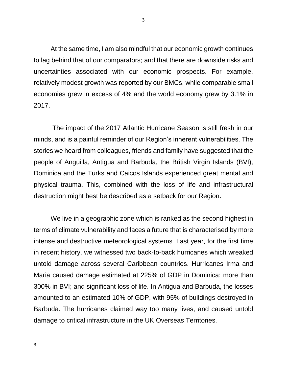At the same time, I am also mindful that our economic growth continues to lag behind that of our comparators; and that there are downside risks and uncertainties associated with our economic prospects. For example, relatively modest growth was reported by our BMCs, while comparable small economies grew in excess of 4% and the world economy grew by 3.1% in 2017.

The impact of the 2017 Atlantic Hurricane Season is still fresh in our minds, and is a painful reminder of our Region's inherent vulnerabilities. The stories we heard from colleagues, friends and family have suggested that the people of Anguilla, Antigua and Barbuda, the British Virgin Islands (BVI), Dominica and the Turks and Caicos Islands experienced great mental and physical trauma. This, combined with the loss of life and infrastructural destruction might best be described as a setback for our Region.

We live in a geographic zone which is ranked as the second highest in terms of climate vulnerability and faces a future that is characterised by more intense and destructive meteorological systems. Last year, for the first time in recent history, we witnessed two back-to-back hurricanes which wreaked untold damage across several Caribbean countries. Hurricanes Irma and Maria caused damage estimated at 225% of GDP in Dominica; more than 300% in BVI; and significant loss of life. In Antigua and Barbuda, the losses amounted to an estimated 10% of GDP, with 95% of buildings destroyed in Barbuda. The hurricanes claimed way too many lives, and caused untold damage to critical infrastructure in the UK Overseas Territories.

3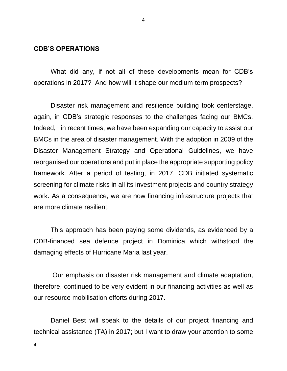#### **CDB'S OPERATIONS**

4

What did any, if not all of these developments mean for CDB's operations in 2017? And how will it shape our medium-term prospects?

Disaster risk management and resilience building took centerstage, again, in CDB's strategic responses to the challenges facing our BMCs. Indeed, in recent times, we have been expanding our capacity to assist our BMCs in the area of disaster management. With the adoption in 2009 of the Disaster Management Strategy and Operational Guidelines, we have reorganised our operations and put in place the appropriate supporting policy framework. After a period of testing, in 2017, CDB initiated systematic screening for climate risks in all its investment projects and country strategy work. As a consequence, we are now financing infrastructure projects that are more climate resilient.

This approach has been paying some dividends, as evidenced by a CDB-financed sea defence project in Dominica which withstood the damaging effects of Hurricane Maria last year.

Our emphasis on disaster risk management and climate adaptation, therefore, continued to be very evident in our financing activities as well as our resource mobilisation efforts during 2017.

Daniel Best will speak to the details of our project financing and technical assistance (TA) in 2017; but I want to draw your attention to some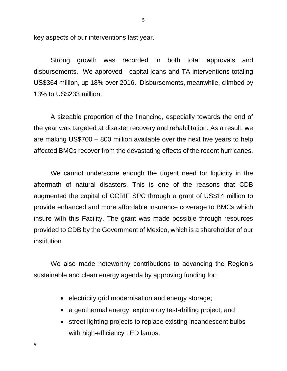key aspects of our interventions last year.

Strong growth was recorded in both total approvals and disbursements. We approved capital loans and TA interventions totaling US\$364 million, up 18% over 2016. Disbursements, meanwhile, climbed by 13% to US\$233 million.

A sizeable proportion of the financing, especially towards the end of the year was targeted at disaster recovery and rehabilitation. As a result, we are making US\$700 – 800 million available over the next five years to help affected BMCs recover from the devastating effects of the recent hurricanes.

We cannot underscore enough the urgent need for liquidity in the aftermath of natural disasters. This is one of the reasons that CDB augmented the capital of CCRIF SPC through a grant of US\$14 million to provide enhanced and more affordable insurance coverage to BMCs which insure with this Facility. The grant was made possible through resources provided to CDB by the Government of Mexico, which is a shareholder of our institution.

We also made noteworthy contributions to advancing the Region's sustainable and clean energy agenda by approving funding for:

- electricity grid modernisation and energy storage;
- a geothermal energy exploratory test-drilling project; and
- street lighting projects to replace existing incandescent bulbs with high-efficiency LED lamps.

5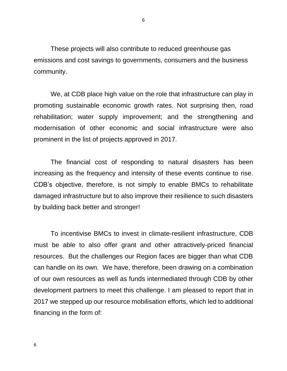These projects will also contribute to reduced greenhouse gas emissions and cost savings to governments, consumers and the business community.

We, at CDB place high value on the role that infrastructure can play in promoting sustainable economic growth rates. Not surprising then, road rehabilitation; water supply improvement; and the strengthening and modernisation of other economic and social infrastructure were also prominent in the list of projects approved in 2017.

The financial cost of responding to natural disasters has been increasing as the frequency and intensity of these events continue to rise. CDB's objective, therefore, is not simply to enable BMCs to rehabilitate damaged infrastructure but to also improve their resilience to such disasters by building back better and stronger!

To incentivise BMCs to invest in climate-resilient infrastructure, CDB must be able to also offer grant and other attractively-priced financial resources. But the challenges our Region faces are bigger than what CDB can handle on its own. We have, therefore, been drawing on a combination of our own resources as well as funds intermediated through CDB by other development partners to meet this challenge. I am pleased to report that in 2017 we stepped up our resource mobilisation efforts, which led to additional financing in the form of: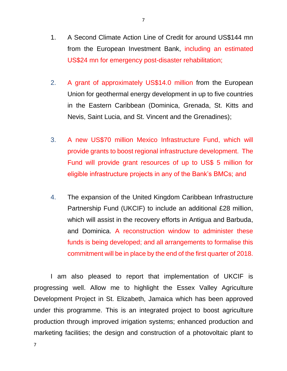- 1. A Second Climate Action Line of Credit for around US\$144 mn from the European Investment Bank, including an estimated US\$24 mn for emergency post-disaster rehabilitation;
- 2. A grant of approximately US\$14.0 million from the European Union for geothermal energy development in up to five countries in the Eastern Caribbean (Dominica, Grenada, St. Kitts and Nevis, Saint Lucia, and St. Vincent and the Grenadines);
- 3. A new US\$70 million Mexico Infrastructure Fund, which will provide grants to boost regional infrastructure development. The Fund will provide grant resources of up to US\$ 5 million for eligible infrastructure projects in any of the Bank's BMCs; and
- 4. The expansion of the United Kingdom Caribbean Infrastructure Partnership Fund (UKCIF) to include an additional £28 million, which will assist in the recovery efforts in Antigua and Barbuda, and Dominica. A reconstruction window to administer these funds is being developed; and all arrangements to formalise this commitment will be in place by the end of the first quarter of 2018.

I am also pleased to report that implementation of UKCIF is progressing well. Allow me to highlight the Essex Valley Agriculture Development Project in St. Elizabeth, Jamaica which has been approved under this programme. This is an integrated project to boost agriculture production through improved irrigation systems; enhanced production and marketing facilities; the design and construction of a photovoltaic plant to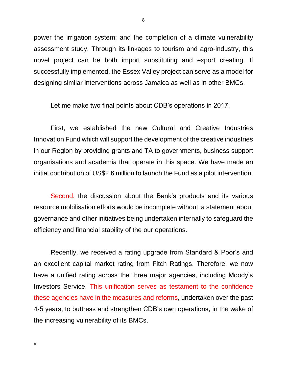power the irrigation system; and the completion of a climate vulnerability assessment study. Through its linkages to tourism and agro-industry, this novel project can be both import substituting and export creating. If successfully implemented, the Essex Valley project can serve as a model for designing similar interventions across Jamaica as well as in other BMCs.

Let me make two final points about CDB's operations in 2017.

First, we established the new Cultural and Creative Industries Innovation Fund which will support the development of the creative industries in our Region by providing grants and TA to governments, business support organisations and academia that operate in this space. We have made an initial contribution of US\$2.6 million to launch the Fund as a pilot intervention.

Second, the discussion about the Bank's products and its various resource mobilisation efforts would be incomplete without a statement about governance and other initiatives being undertaken internally to safeguard the efficiency and financial stability of the our operations.

Recently, we received a rating upgrade from Standard & Poor's and an excellent capital market rating from Fitch Ratings. Therefore, we now have a unified rating across the three major agencies, including Moody's Investors Service. This unification serves as testament to the confidence these agencies have in the measures and reforms, undertaken over the past 4-5 years, to buttress and strengthen CDB's own operations, in the wake of the increasing vulnerability of its BMCs.